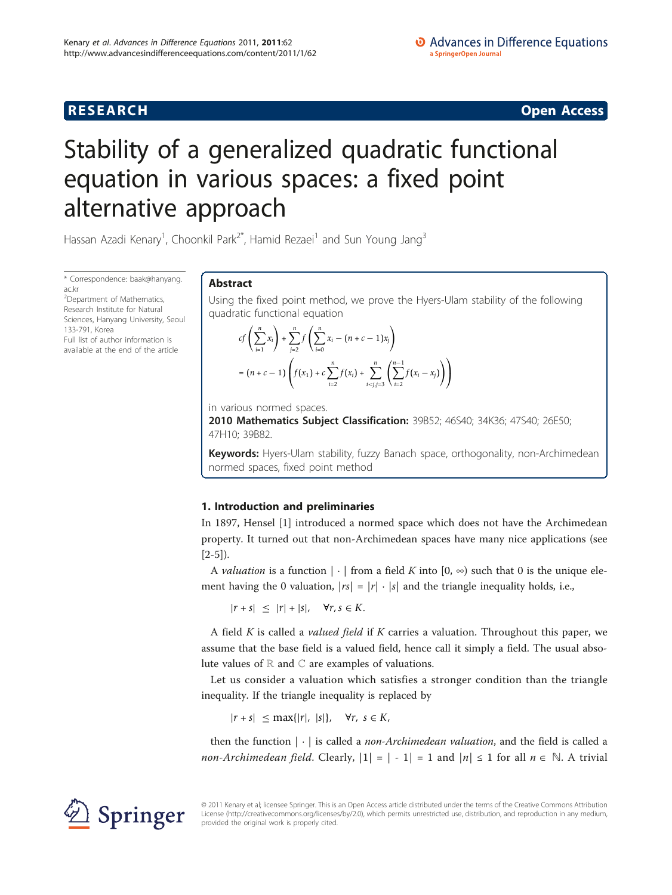**RESEARCH CONSTRUCTION CONSTRUCTS** 

# Stability of a generalized quadratic functional equation in various spaces: a fixed point alternative approach

Hassan Azadi Kenary<sup>1</sup>, Choonkil Park<sup>2\*</sup>, Hamid Rezaei<sup>1</sup> and Sun Young Jang<sup>3</sup>

\* Correspondence: [baak@hanyang.](mailto:baak@hanyang.ac.kr) [ac.kr](mailto:baak@hanyang.ac.kr)

<sup>2</sup>Department of Mathematics, Research Institute for Natural Sciences, Hanyang University, Seoul 133-791, Korea Full list of author information is available at the end of the article

# Abstract

Using the fixed point method, we prove the Hyers-Ulam stability of the following quadratic functional equation

$$
cf\left(\sum_{i=1}^{n} x_{i}\right) + \sum_{j=2}^{n} f\left(\sum_{i=0}^{n} x_{i} - (n + c - 1)x_{j}\right)
$$
  
=  $(n + c - 1)\left(f(x_{1}) + c\sum_{i=2}^{n} f(x_{i}) + \sum_{i$ 

in various normed spaces.

2010 Mathematics Subject Classification: 39B52; 46S40; 34K36; 47S40; 26E50; 47H10; 39B82.

Keywords: Hyers-Ulam stability, fuzzy Banach space, orthogonality, non-Archimedean normed spaces, fixed point method

# 1. Introduction and preliminaries

In 1897, Hensel [[1](#page-14-0)] introduced a normed space which does not have the Archimedean property. It turned out that non-Archimedean spaces have many nice applications (see  $[2-5]$  $[2-5]$  $[2-5]$  $[2-5]$ ).

A *valuation* is a function  $|\cdot|$  from a field K into  $[0, \infty)$  such that 0 is the unique element having the 0 valuation,  $|rs|=|r|\cdot|s|$  and the triangle inequality holds, i.e.,

 $|r + s| \leq |r| + |s|, \quad \forall r, s \in K.$ 

A field  $K$  is called a *valued field* if  $K$  carries a valuation. Throughout this paper, we assume that the base field is a valued field, hence call it simply a field. The usual absolute values of  $\mathbb R$  and  $\mathbb C$  are examples of valuations.

Let us consider a valuation which satisfies a stronger condition than the triangle inequality. If the triangle inequality is replaced by

|*r* + *s*| ≤ max{|*r*|, |*s*|}, ∀*r*, *s* ∈ *K*,

then the function  $|\cdot|$  is called a *non-Archimedean valuation*, and the field is called a *non-Archimedean field.* Clearly,  $|1| = |-1| = 1$  and  $|n| \le 1$  for all  $n \in \mathbb{N}$ . A trivial



© 2011 Kenary et al; licensee Springer. This is an Open Access article distributed under the terms of the Creative Commons Attribution License [\(http://creativecommons.org/licenses/by/2.0](http://creativecommons.org/licenses/by/2.0)), which permits unrestricted use, distribution, and reproduction in any medium, provided the original work is properly cited.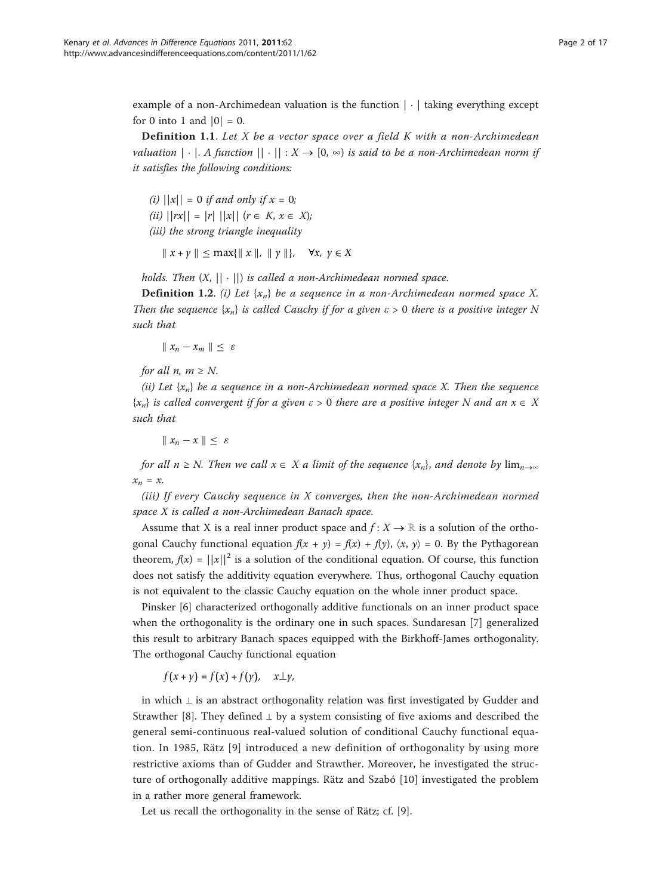example of a non-Archimedean valuation is the function  $|\cdot|$  taking everything except for 0 into 1 and  $|0| = 0$ .

**Definition 1.1.** Let X be a vector space over a field K with a non-Archimedean valuation  $|\cdot|$ . A function  $||\cdot||: X \to [0, \infty)$  is said to be a non-Archimedean norm if it satisfies the following conditions:

(i)  $||x|| = 0$  if and only if  $x = 0$ ; (ii)  $||rx|| = |r| ||x||$   $(r \in K, x \in X);$ (iii) the strong triangle inequality

 $\|x + y\| \leq \max\{\|x\|, \|y\|\}, \forall x, y \in X$ 

holds. Then  $(X, || \cdot ||)$  is called a non-Archimedean normed space.

**Definition 1.2.** (i) Let  $\{x_n\}$  be a sequence in a non-Archimedean normed space X. Then the sequence  ${x_n}$  is called Cauchy if for a given  $\varepsilon > 0$  there is a positive integer N such that

 $\| x_n - x_m \| \leq \varepsilon$ 

for all *n*,  $m \geq N$ .

(ii) Let  $\{x_n\}$  be a sequence in a non-Archimedean normed space X. Then the sequence  ${x_n}$  is called convergent if for a given  $\varepsilon > 0$  there are a positive integer N and an  $x \in X$ such that

 $\|x_n - x\| < \varepsilon$ 

for all  $n \ge N$ . Then we call  $x \in X$  a limit of the sequence  $\{x_n\}$ , and denote by  $\lim_{n\to\infty}$  $x_n = x$ .

(iii) If every Cauchy sequence in X converges, then the non-Archimedean normed space X is called a non-Archimedean Banach space.

Assume that X is a real inner product space and  $f: X \to \mathbb{R}$  is a solution of the orthogonal Cauchy functional equation  $f(x + y) = f(x) + f(y)$ ,  $\langle x, y \rangle = 0$ . By the Pythagorean theorem,  $f(x) = ||x||^2$  is a solution of the conditional equation. Of course, this function does not satisfy the additivity equation everywhere. Thus, orthogonal Cauchy equation is not equivalent to the classic Cauchy equation on the whole inner product space.

Pinsker [\[6](#page-15-0)] characterized orthogonally additive functionals on an inner product space when the orthogonality is the ordinary one in such spaces. Sundaresan [[7\]](#page-15-0) generalized this result to arbitrary Banach spaces equipped with the Birkhoff-James orthogonality. The orthogonal Cauchy functional equation

$$
f(x + \gamma) = f(x) + f(\gamma), \quad x \perp \gamma,
$$

in which  $\perp$  is an abstract orthogonality relation was first investigated by Gudder and Strawther [\[8](#page-15-0)]. They defined  $\perp$  by a system consisting of five axioms and described the general semi-continuous real-valued solution of conditional Cauchy functional equation. In 1985, Rätz [[9\]](#page-15-0) introduced a new definition of orthogonality by using more restrictive axioms than of Gudder and Strawther. Moreover, he investigated the structure of orthogonally additive mappings. Rätz and Szabó [[10](#page-15-0)] investigated the problem in a rather more general framework.

Let us recall the orthogonality in the sense of Rätz; cf. [\[9](#page-15-0)].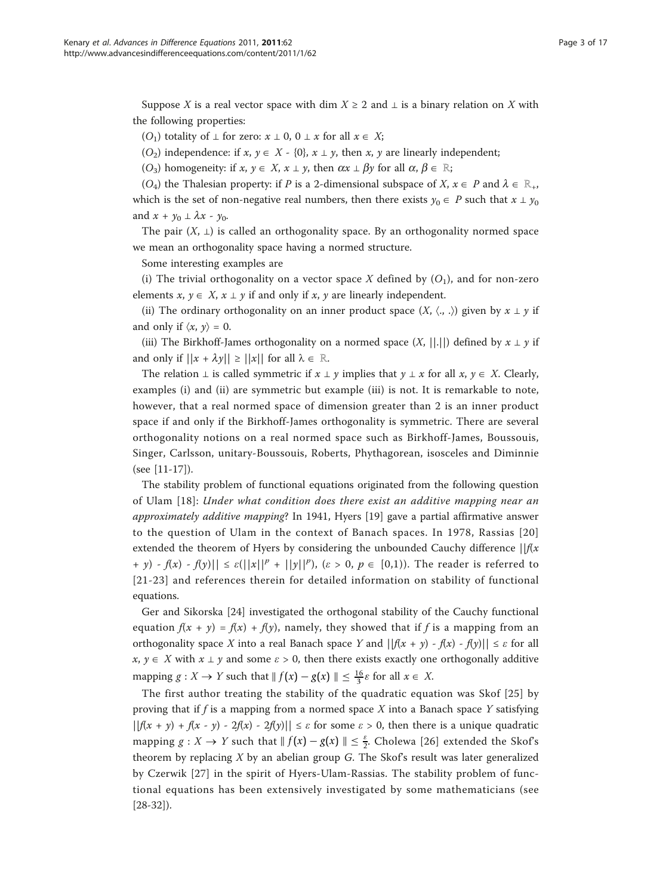Suppose X is a real vector space with dim  $X \geq 2$  and  $\perp$  is a binary relation on X with the following properties:

(O<sub>1</sub>) totality of  $\bot$  for zero:  $x \bot 0$ ,  $0 \bot x$  for all  $x \in X$ ;

(O<sub>2</sub>) independence: if x,  $y \in X - \{0\}$ ,  $x \perp y$ , then x, y are linearly independent;

 $(O_3)$  homogeneity: if  $x, y \in X$ ,  $x \perp y$ , then  $\alpha x \perp \beta y$  for all  $\alpha, \beta \in \mathbb{R}$ ;

(O<sub>4</sub>) the Thalesian property: if P is a 2-dimensional subspace of X,  $x \in P$  and  $\lambda \in \mathbb{R}_+$ , which is the set of non-negative real numbers, then there exists  $y_0 \in P$  such that  $x \perp y_0$ and  $x + y_0 \perp \lambda x - y_0$ .

The pair  $(X, \perp)$  is called an orthogonality space. By an orthogonality normed space we mean an orthogonality space having a normed structure.

Some interesting examples are

(i) The trivial orthogonality on a vector space X defined by  $(O_1)$ , and for non-zero elements  $x, y \in X$ ,  $x \perp y$  if and only if x, y are linearly independent.

(ii) The ordinary orthogonality on an inner product space  $(X, \langle , , \rangle)$  given by  $x \perp y$  if and only if  $\langle x, y \rangle = 0$ .

(iii) The Birkhoff-James orthogonality on a normed space  $(X, ||.||)$  defined by  $x \perp y$  if and only if  $||x + \lambda y|| \ge ||x||$  for all  $\lambda \in \mathbb{R}$ .

The relation  $\bot$  is called symmetric if  $x \bot y$  implies that  $y \bot x$  for all  $x, y \in X$ . Clearly, examples (i) and (ii) are symmetric but example (iii) is not. It is remarkable to note, however, that a real normed space of dimension greater than 2 is an inner product space if and only if the Birkhoff-James orthogonality is symmetric. There are several orthogonality notions on a real normed space such as Birkhoff-James, Boussouis, Singer, Carlsson, unitary-Boussouis, Roberts, Phythagorean, isosceles and Diminnie (see [[11-17\]](#page-15-0)).

The stability problem of functional equations originated from the following question of Ulam [[18](#page-15-0)]: Under what condition does there exist an additive mapping near an approximately additive mapping? In 1941, Hyers [[19\]](#page-15-0) gave a partial affirmative answer to the question of Ulam in the context of Banach spaces. In 1978, Rassias [[20](#page-15-0)] extended the theorem of Hyers by considering the unbounded Cauchy difference  $||f(x)||$ + y) -  $f(x)$  -  $f(y)$ ||  $\leq \varepsilon(||x||^p + ||y||^p)$ ,  $(\varepsilon > 0, p \in [0,1])$ . The reader is referred to [[21-23](#page-15-0)] and references therein for detailed information on stability of functional equations.

Ger and Sikorska [\[24](#page-15-0)] investigated the orthogonal stability of the Cauchy functional equation  $f(x + y) = f(x) + f(y)$ , namely, they showed that if f is a mapping from an orthogonality space X into a real Banach space Y and  $||f(x + y) - f(x) - f(y)|| \leq \varepsilon$  for all  $x, y \in X$  with  $x \perp y$  and some  $\varepsilon > 0$ , then there exists exactly one orthogonally additive mapping  $g: X \to Y$  such that  $\| f(x) - g(x) \| \leq \frac{16}{3} \varepsilon$  for all  $x \in X$ .

The first author treating the stability of the quadratic equation was Skof [[25\]](#page-15-0) by proving that if f is a mapping from a normed space  $X$  into a Banach space  $Y$  satisfying  $||f(x + y) + f(x - y) - 2f(x) - 2f(y)|| \le \varepsilon$  for some  $\varepsilon > 0$ , then there is a unique quadratic mapping  $g: X \to Y$  such that  $\|f(x) - g(x)\| \leq \frac{\varepsilon}{2}$ . Cholewa [[26](#page-15-0)] extended the Skof's theorem by replacing  $X$  by an abelian group  $G$ . The Skof's result was later generalized by Czerwik [[27\]](#page-15-0) in the spirit of Hyers-Ulam-Rassias. The stability problem of functional equations has been extensively investigated by some mathematicians (see [[28-32\]](#page-15-0)).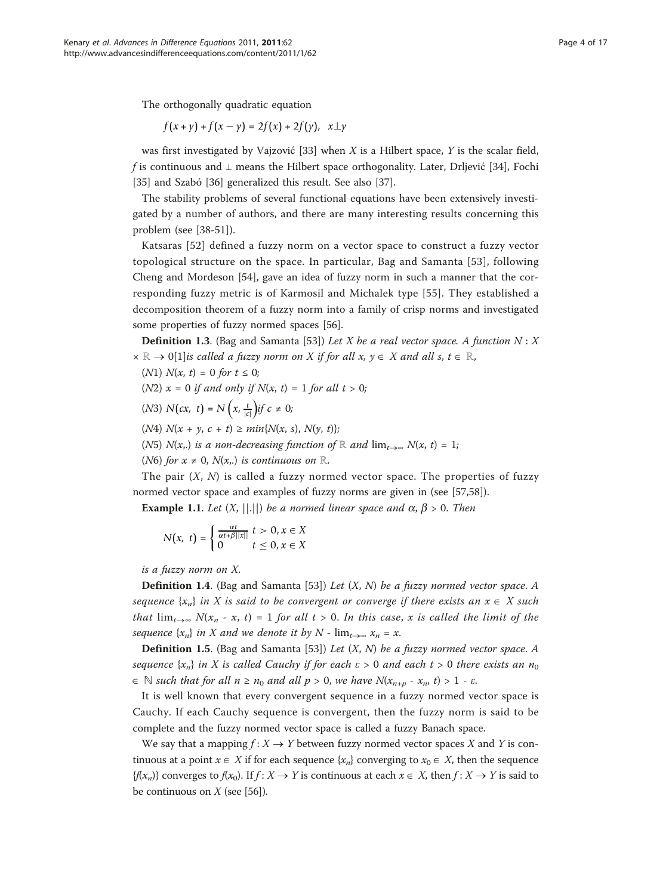The orthogonally quadratic equation

$$
f(x + \gamma) + f(x - \gamma) = 2f(x) + 2f(\gamma), \quad x \perp y
$$

was first investigated by Vajzović [\[33](#page-15-0)] when  $X$  is a Hilbert space,  $Y$  is the scalar field, f is continuous and  $\perp$  means the Hilbert space orthogonality. Later, Drliević [[34\]](#page-15-0), Fochi [[35\]](#page-15-0) and Szabó [\[36](#page-15-0)] generalized this result. See also [[37\]](#page-15-0).

The stability problems of several functional equations have been extensively investigated by a number of authors, and there are many interesting results concerning this problem (see [\[38](#page-15-0)[-51](#page-16-0)]).

Katsaras [\[52\]](#page-16-0) defined a fuzzy norm on a vector space to construct a fuzzy vector topological structure on the space. In particular, Bag and Samanta [[53](#page-16-0)], following Cheng and Mordeson [\[54](#page-16-0)], gave an idea of fuzzy norm in such a manner that the corresponding fuzzy metric is of Karmosil and Michalek type [[55](#page-16-0)]. They established a decomposition theorem of a fuzzy norm into a family of crisp norms and investigated some properties of fuzzy normed spaces [\[56](#page-16-0)].

**Definition 1.3.** (Bag and Samanta [[53\]](#page-16-0)) Let X be a real vector space. A function  $N: X$  $x \mathbb{R} \to 0$ [\[1](#page-14-0)]is called a fuzzy norm on X if for all  $x, y \in X$  and all s,  $t \in \mathbb{R}$ ,

- (N1)  $N(x, t) = 0$  for  $t \le 0$ ;
- (N2)  $x = 0$  if and only if  $N(x, t) = 1$  for all  $t > 0$ ;
- (*N3*) *N*(*cx*, *t*) = *N* (*x*,  $\frac{t}{|c|}$ )if  $c \neq 0$ ;

(N4)  $N(x + y, c + t) \ge min\{N(x, s), N(y, t)\};$ 

(N5) N(x,.) is a non-decreasing function of ℝ and  $\lim_{t\to\infty} N(x, t)=1$ ;

(N6) for  $x \neq 0$ ,  $N(x,.)$  is continuous on  $\mathbb{R}$ .

The pair  $(X, N)$  is called a fuzzy normed vector space. The properties of fuzzy normed vector space and examples of fuzzy norms are given in (see [[57,58](#page-16-0)]).

**Example 1.1.** Let  $(X, ||.||)$  be a normed linear space and  $\alpha$ ,  $\beta > 0$ . Then

$$
N(x, t) = \begin{cases} \frac{\alpha t}{\alpha t + \beta ||x||} \ t > 0, x \in X \\ 0 \qquad \qquad t \le 0, x \in X \end{cases}
$$

is a fuzzy norm on X.

**Definition 1.4.** (Bag and Samanta [\[53](#page-16-0)]) Let  $(X, N)$  be a fuzzy normed vector space. A sequence  $\{x_n\}$  in X is said to be convergent or converge if there exists an  $x \in X$  such that  $\lim_{t\to\infty} N(x_n - x, t) = 1$  for all  $t > 0$ . In this case, x is called the limit of the sequence  $\{x_n\}$  in X and we denote it by N -  $\lim_{t\to\infty} x_n = x$ .

**Definition 1.5.** (Bag and Samanta [\[53](#page-16-0)]) Let  $(X, N)$  be a fuzzy normed vector space. A sequence  $\{x_n\}$  in X is called Cauchy if for each  $\varepsilon > 0$  and each  $t > 0$  there exists an  $n_0$  $\in \mathbb{N}$  such that for all  $n \ge n_0$  and all  $p > 0$ , we have  $N(x_{n+p} - x_n, t) > 1 - \varepsilon$ .

It is well known that every convergent sequence in a fuzzy normed vector space is Cauchy. If each Cauchy sequence is convergent, then the fuzzy norm is said to be complete and the fuzzy normed vector space is called a fuzzy Banach space.

We say that a mapping  $f: X \to Y$  between fuzzy normed vector spaces X and Y is continuous at a point  $x \in X$  if for each sequence  $\{x_n\}$  converging to  $x_0 \in X$ , then the sequence  $\{f(x_n)\}\)$  converges to  $f(x_0)$ . If  $f: X \to Y$  is continuous at each  $x \in X$ , then  $f: X \to Y$  is said to be continuous on  $X$  (see [[56](#page-16-0)]).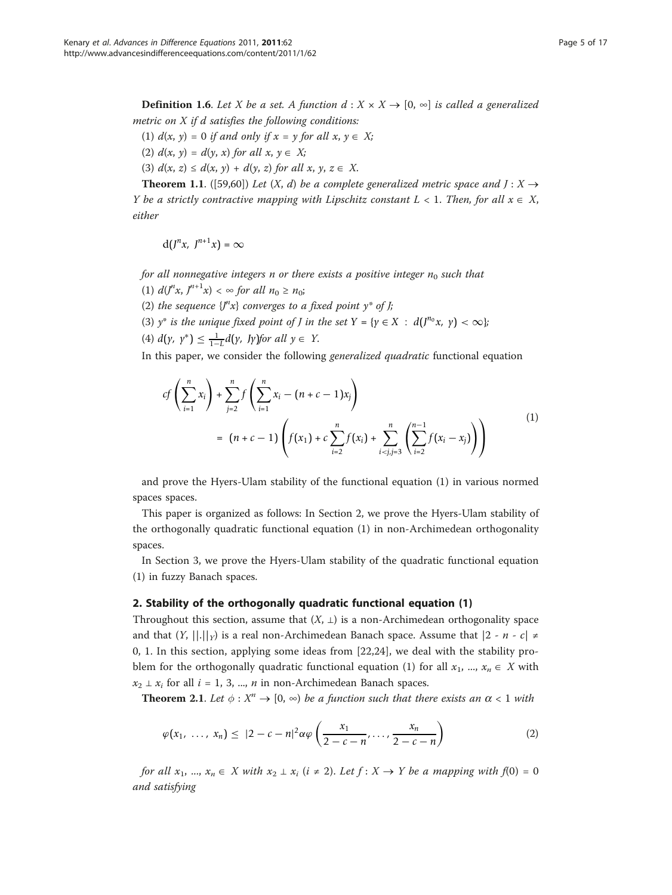**Definition 1.6.** Let X be a set. A function  $d : X \times X \rightarrow [0, \infty]$  is called a generalized metric on  $X$  if  $d$  satisfies the following conditions:

- (1)  $d(x, y) = 0$  if and only if  $x = y$  for all  $x, y \in X$ ;
- (2)  $d(x, y) = d(y, x)$  for all  $x, y \in X$ ;
- (3)  $d(x, z) \leq d(x, y) + d(y, z)$  for all  $x, y, z \in X$ .

**Theorem 1.1.** ([[59,60](#page-16-0)]) Let  $(X, d)$  be a complete generalized metric space and  $J: X \rightarrow$ Y be a strictly contractive mapping with Lipschitz constant  $L < 1$ . Then, for all  $x \in X$ , either

$$
d(J^nx, J^{n+1}x)=\infty
$$

for all nonnegative integers n or there exists a positive integer  $n_0$  such that

(1)  $d(J^{n}x, J^{n+1}x) < \infty$  for all  $n_0 \ge n_0$ ;

(2) the sequence  $\{J^nx\}$  converges to a fixed point  $y^*$  of J;

- (3)  $y^*$  is the unique fixed point of *J* in the set  $Y = \{y \in X : d(J^{n_0}x, y) < \infty\}$ ;
- (4)  $d(y, y^*)$  ≤  $\frac{1}{1-L}d(y, y)$  *for all*  $y \in Y$ .

In this paper, we consider the following *generalized quadratic* functional equation

$$
cf\left(\sum_{i=1}^{n} x_i\right) + \sum_{j=2}^{n} f\left(\sum_{i=1}^{n} x_i - (n + c - 1)x_j\right)
$$
  
=  $(n + c - 1)\left(f(x_1) + c \sum_{i=2}^{n} f(x_i) + \sum_{i < j, j=3}^{n} \left(\sum_{i=2}^{n-1} f(x_i - x_j)\right)\right)$  (1)

and prove the Hyers-Ulam stability of the functional equation (1) in various normed spaces spaces.

This paper is organized as follows: In Section 2, we prove the Hyers-Ulam stability of the orthogonally quadratic functional equation (1) in non-Archimedean orthogonality spaces.

In Section 3, we prove the Hyers-Ulam stability of the quadratic functional equation (1) in fuzzy Banach spaces.

## 2. Stability of the orthogonally quadratic functional equation (1)

Throughout this section, assume that  $(X, \perp)$  is a non-Archimedean orthogonality space and that  $(Y, ||.||_Y)$  is a real non-Archimedean Banach space. Assume that  $|2 - n - c| \neq$ 0, 1. In this section, applying some ideas from [[22](#page-15-0),[24\]](#page-15-0), we deal with the stability problem for the orthogonally quadratic functional equation (1) for all  $x_1$ , ...,  $x_n \in X$  with  $x_2 \perp x_i$  for all  $i = 1, 3, ..., n$  in non-Archimedean Banach spaces.

**Theorem 2.1.** Let  $\phi : X^n \to [0, \infty)$  be a function such that there exists an  $\alpha < 1$  with

$$
\varphi(x_1,\ldots,x_n)\leq |2-c-n|^2\alpha\varphi\left(\frac{x_1}{2-c-n},\ldots,\frac{x_n}{2-c-n}\right) \tag{2}
$$

for all  $x_1, ..., x_n \in X$  with  $x_2 \perp x_i$   $(i \neq 2)$ . Let  $f : X \to Y$  be a mapping with  $f(0) = 0$ and satisfying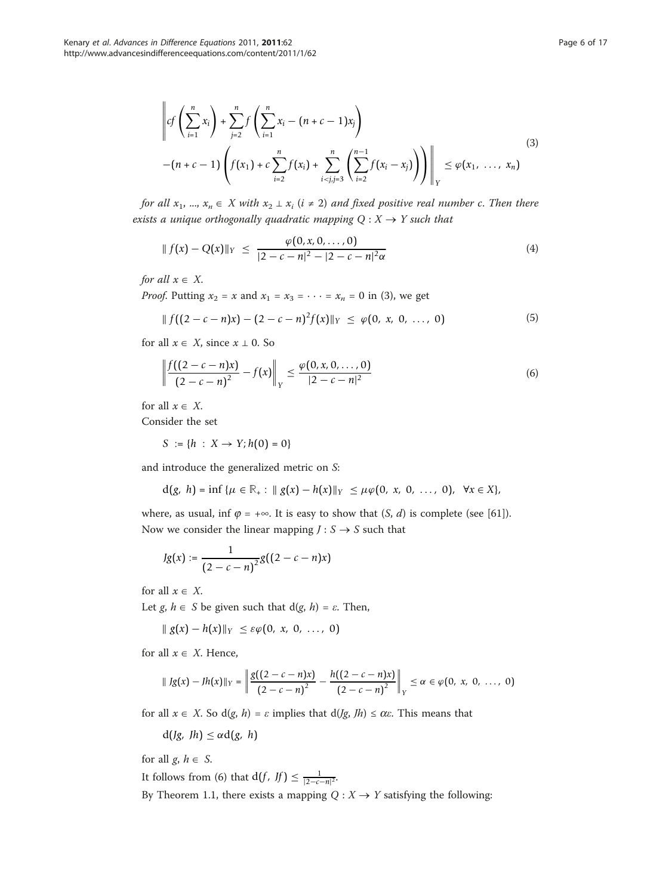$$
\left\| cf\left(\sum_{i=1}^{n} x_{i}\right) + \sum_{j=2}^{n} f\left(\sum_{i=1}^{n} x_{i} - (n + c - 1)x_{j}\right) \right\|_{Y} \leq \varphi(x_{1}, \ldots, x_{n})
$$
\n
$$
-(n + c - 1)\left( f(x_{1}) + c \sum_{i=2}^{n} f(x_{i}) + \sum_{i < j, j=3}^{n} \left(\sum_{i=2}^{n-1} f(x_{i} - x_{j})\right) \right) \right\|_{Y} \leq \varphi(x_{1}, \ldots, x_{n})
$$
\n(3)

for all  $x_1, ..., x_n \in X$  with  $x_2 \perp x_i$  ( $i \neq 2$ ) and fixed positive real number c. Then there exists a unique orthogonally quadratic mapping  $Q: X \rightarrow Y$  such that

$$
|| f(x) - Q(x)||_Y \le \frac{\varphi(0, x, 0, \dots, 0)}{|2 - c - n|^2 - |2 - c - n|^2 \alpha}
$$
\n(4)

for all  $x \in X$ .

*Proof.* Putting  $x_2 = x$  and  $x_1 = x_3 = \cdots = x_n = 0$  in (3), we get

$$
\| f((2 - c - n)x) - (2 - c - n)^2 f(x) \|_{Y} \le \varphi(0, x, 0, ..., 0)
$$
 (5)

for all  $x \in X$ , since  $x \perp 0$ . So

$$
\left\| \frac{f((2-c-n)x)}{(2-c-n)^2} - f(x) \right\|_Y \le \frac{\varphi(0, x, 0, \dots, 0)}{|2-c-n|^2} \tag{6}
$$

for all  $x \in X$ .

Consider the set

*S* :=  $\{h : X \to Y; h(0) = 0\}$ 

and introduce the generalized metric on S:

 $d(g, h) = \inf \{ \mu \in \mathbb{R}_+ : \| g(x) - h(x) \|_{Y} \leq \mu \varphi(0, x, 0, \ldots, 0), \forall x \in X \},\$ 

where, as usual, inf  $\varphi = +\infty$ . It is easy to show that  $(S, d)$  is complete (see [\[61](#page-16-0)]). Now we consider the linear mapping  $J: S \rightarrow S$  such that

$$
Jg(x) := \frac{1}{(2-c-n)^2}g((2-c-n)x)
$$

for all  $x \in X$ .

Let  $g, h \in S$  be given such that  $d(g, h) = \varepsilon$ . Then,

$$
\| g(x) - h(x) \|_Y \leq \varepsilon \varphi(0, x, 0, \ldots, 0)
$$

for all  $x \in X$ . Hence,

$$
\|fg(x)-fh(x)\|_{Y}=\left\|\frac{g((2-c-n)x)}{(2-c-n)^2}-\frac{h((2-c-n)x)}{(2-c-n)^2}\right\|_{Y}\leq\alpha\in\varphi(0, x, 0, ..., 0)
$$

for all  $x \in X$ . So d(g, h) =  $\varepsilon$  implies that d(*Jg*, *Jh*)  $\leq \alpha \varepsilon$ . This means that

$$
d(Jg, fh) \leq \alpha d(g, h)
$$

for all  $g, h \in S$ .

It follows from (6) that  $d(f, Jf) \leq \frac{1}{|2 - c - n|^2}$ .

By Theorem 1.1, there exists a mapping  $Q: X \rightarrow Y$  satisfying the following: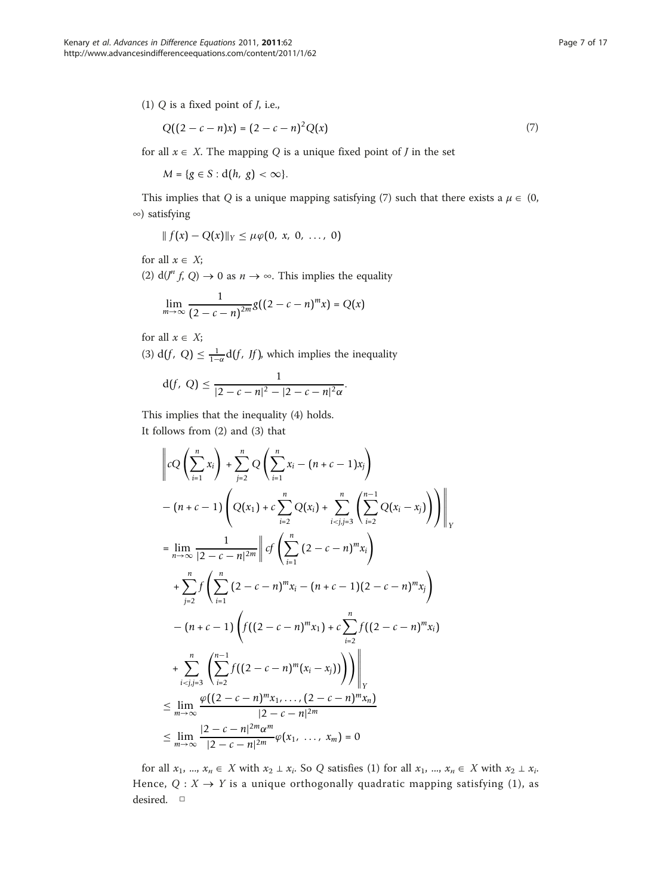$$
Q((2 - c - n)x) = (2 - c - n)^{2}Q(x)
$$
\n(7)

for all  $x \in X$ . The mapping Q is a unique fixed point of J in the set

*M* = {*g* ∈ *S* : d(*h*, *g*) < ∞}.

This implies that Q is a unique mapping satisfying (7) such that there exists a  $\mu \in (0, 1)$ ∞) satisfying

$$
|| f(x) - Q(x)||_Y \leq \mu \varphi(0, x, 0, ..., 0)
$$

for all  $x \in X$ ;

(2)  $d(J^n f, Q) \to 0$  as  $n \to \infty$ . This implies the equality

$$
\lim_{m \to \infty} \frac{1}{(2 - c - n)^{2m}} g((2 - c - n)^m x) = Q(x)
$$

for all  $x \in X$ ;

(3)  $d(f, Q) \leq \frac{1}{1-\alpha}d(f, Jf)$ , which implies the inequality

$$
d(f, Q) \leq \frac{1}{|2 - c - n|^2 - |2 - c - n|^2 \alpha}.
$$

This implies that the inequality (4) holds. It follows from (2) and (3) that

$$
\left\|cQ\left(\sum_{i=1}^{n}x_{i}\right)+\sum_{j=2}^{n}Q\left(\sum_{i=1}^{n}x_{i}-(n+c-1)x_{j}\right)\right\|_{Y}
$$
  
\n
$$
-(n+c-1)\left(Q(x_{1})+c\sum_{i=2}^{n}Q(x_{i})+\sum_{i  
\n
$$
=\lim_{n\to\infty}\frac{1}{|2-c-n|^{2m}}\left\|cf\left(\sum_{i=1}^{n}(2-c-n)^{m}x_{i}\right)\right\|_{Y}
$$
  
\n
$$
+\sum_{j=2}^{n}f\left(\sum_{i=1}^{n}(2-c-n)^{m}x_{i}-(n+c-1)(2-c-n)^{m}x_{j}\right)
$$
  
\n
$$
-(n+c-1)\left(f((2-c-n)^{m}x_{1})+c\sum_{i=2}^{n}f((2-c-n)^{m}x_{i})\right)\right\|_{Y}
$$
  
\n
$$
+\sum_{i  
\n
$$
\leq \lim_{m\to\infty}\frac{\varphi((2-c-n)^{m}x_{1},\ldots,(2-c-n)^{m}x_{n})}{|2-c-n|^{2m}}\leq \lim_{m\to\infty}\frac{|2-c-n|^{2m}\alpha^{m}}{|2-c-n|^{2m}}\varphi(x_{1},\ldots,x_{m})=0
$$
$$
$$

for all  $x_1, ..., x_n \in X$  with  $x_2 \perp x_i$ . So Q satisfies (1) for all  $x_1, ..., x_n \in X$  with  $x_2 \perp x_i$ . Hence,  $Q: X \rightarrow Y$  is a unique orthogonally quadratic mapping satisfying (1), as desired. □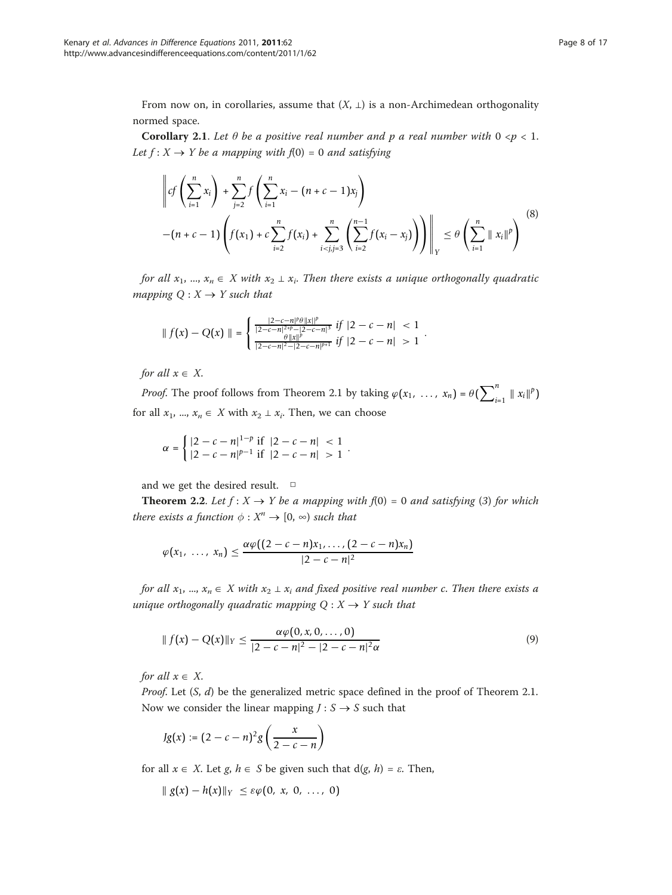From now on, in corollaries, assume that  $(X, \perp)$  is a non-Archimedean orthogonality normed space.

**Corollary 2.1.** Let  $\theta$  be a positive real number and p a real number with  $0 \le p \le 1$ . Let  $f: X \rightarrow Y$  be a mapping with  $f(0) = 0$  and satisfying

$$
\left\| cf\left(\sum_{i=1}^n x_i\right) + \sum_{j=2}^n f\left(\sum_{i=1}^n x_i - (n+c-1)x_j\right) \right\|_Y \le \theta \left(\sum_{i=1}^n \|x_i\|^p\right)^{8}
$$
  
-(n+c-1) 
$$
\left( f(x_1) + c \sum_{i=2}^n f(x_i) + \sum_{i
$$

for all  $x_1, ..., x_n \in X$  with  $x_2 \perp x_i$ . Then there exists a unique orthogonally quadratic mapping  $Q: X \rightarrow Y$  such that

$$
\| f(x) - Q(x) \| = \begin{cases} \frac{|2 - c - n|^{\beta} \theta \|x\|^p}{|2 - c - n|^{2 + p} - |2 - c - n|^3} & \text{if } |2 - c - n| < 1\\ \frac{\theta \|x\|^p}{|2 - c - n|^2 - |2 - c - n|^{p+1}} & \text{if } |2 - c - n| > 1 \end{cases}.
$$

for all  $x \in X$ .

*Proof.* The proof follows from Theorem 2.1 by taking  $\varphi(x_1, \ldots, x_n) = \theta(\sum_{i=1}^n ||x_i||^p)$ for all  $x_1$ , ...,  $x_n \in X$  with  $x_2 \perp x_i$ . Then, we can choose

$$
\alpha = \begin{cases} |2 - c - n|^{1-p} \text{ if } |2 - c - n| < 1 \\ |2 - c - n|^{p-1} \text{ if } |2 - c - n| > 1 \end{cases}.
$$

and we get the desired result. □

**Theorem 2.2.** Let  $f: X \to Y$  be a mapping with  $f(0) = 0$  and satisfying (3) for which there exists a function  $\phi: X^n \to [0, \infty)$  such that

$$
\varphi(x_1,\ldots,x_n)\leq \frac{\alpha\varphi((2-c-n)x_1,\ldots,(2-c-n)x_n)}{|2-c-n|^2}
$$

for all  $x_1, ..., x_n \in X$  with  $x_2 \perp x_i$  and fixed positive real number c. Then there exists a unique orthogonally quadratic mapping  $Q: X \rightarrow Y$  such that

$$
|| f(x) - Q(x)||_Y \le \frac{\alpha \varphi(0, x, 0, \dots, 0)}{|2 - c - n|^2 - |2 - c - n|^2 \alpha}
$$
\n(9)

for all  $x \in X$ .

*Proof.* Let  $(S, d)$  be the generalized metric space defined in the proof of Theorem 2.1. Now we consider the linear mapping  $J: S \rightarrow S$  such that

$$
Jg(x) := (2 - c - n)^2 g\left(\frac{x}{2 - c - n}\right)
$$

for all  $x \in X$ . Let g,  $h \in S$  be given such that  $d(g, h) = \varepsilon$ . Then,

$$
\| g(x) - h(x) \|_Y \leq \varepsilon \varphi(0, x, 0, \ldots, 0)
$$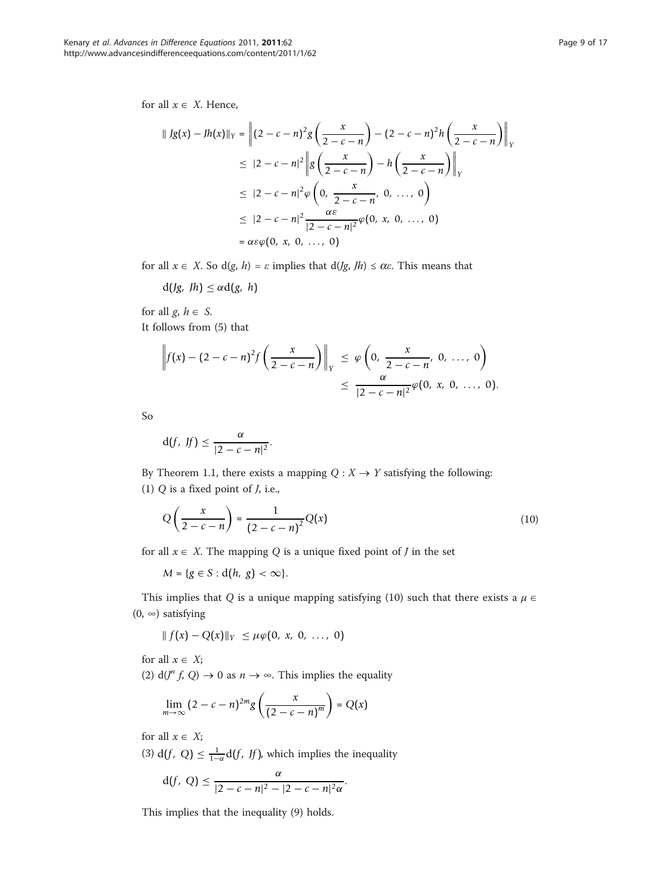for all  $x \in X$ . Hence,

$$
\| Jg(x) - Jh(x) \|_{Y} = \left\| (2 - c - n)^{2} g\left(\frac{x}{2 - c - n}\right) - (2 - c - n)^{2} h\left(\frac{x}{2 - c - n}\right) \right\|_{Y}
$$
  
\n
$$
\leq |2 - c - n|^{2} \left\| g\left(\frac{x}{2 - c - n}\right) - h\left(\frac{x}{2 - c - n}\right) \right\|_{Y}
$$
  
\n
$$
\leq |2 - c - n|^{2} \varphi\left(0, \frac{x}{2 - c - n}, 0, ..., 0\right)
$$
  
\n
$$
\leq |2 - c - n|^{2} \frac{\alpha \varepsilon}{|2 - c - n|^{2}} \varphi(0, x, 0, ..., 0)
$$
  
\n
$$
= \alpha \varepsilon \varphi(0, x, 0, ..., 0)
$$

for all  $x \in X$ . So d(g, h) =  $\varepsilon$  implies that d(*Jg*, *Jh*)  $\leq \alpha \varepsilon$ . This means that

 $d(Jg, Jh) \leq \alpha d(g, h)$ 

for all  $g, h \in S$ . It follows from (5) that

$$
\left\|f(x) - (2 - c - n)^2 f\left(\frac{x}{2 - c - n}\right)\right\|_Y \le \varphi\left(0, \frac{x}{2 - c - n}, 0, ..., 0\right) \le \frac{\alpha}{|2 - c - n|^2} \varphi(0, x, 0, ..., 0).
$$

So

$$
d(f, Jf) \leq \frac{\alpha}{|2 - c - n|^2}.
$$

By Theorem 1.1, there exists a mapping  $Q: X \rightarrow Y$  satisfying the following: (1)  $Q$  is a fixed point of  $J$ , i.e.,

$$
Q\left(\frac{x}{2-c-n}\right) = \frac{1}{(2-c-n)^2}Q(x)
$$
\n(10)

for all  $x \in X$ . The mapping Q is a unique fixed point of J in the set

 $M = \{g \in S : d(h, g) < \infty\}.$ 

This implies that Q is a unique mapping satisfying (10) such that there exists a  $\mu \in$  $(0, \infty)$  satisfying

$$
|| f(x) - Q(x)||_Y \leq \mu \varphi(0, x, 0, ..., 0)
$$

for all  $x \in X$ ;

(2)  $d(J^n f, Q) \to 0$  as  $n \to \infty$ . This implies the equality

$$
\lim_{m\to\infty}(2-c-n)^{2m}g\left(\frac{x}{(2-c-n)^m}\right)=Q(x)
$$

for all  $x \in X$ ;

(3)  $d(f, Q) \leq \frac{1}{1-\alpha}d(f, Jf)$ , which implies the inequality

$$
d(f, Q) \leq \frac{\alpha}{|2 - c - n|^2 - |2 - c - n|^2 \alpha}.
$$

This implies that the inequality (9) holds.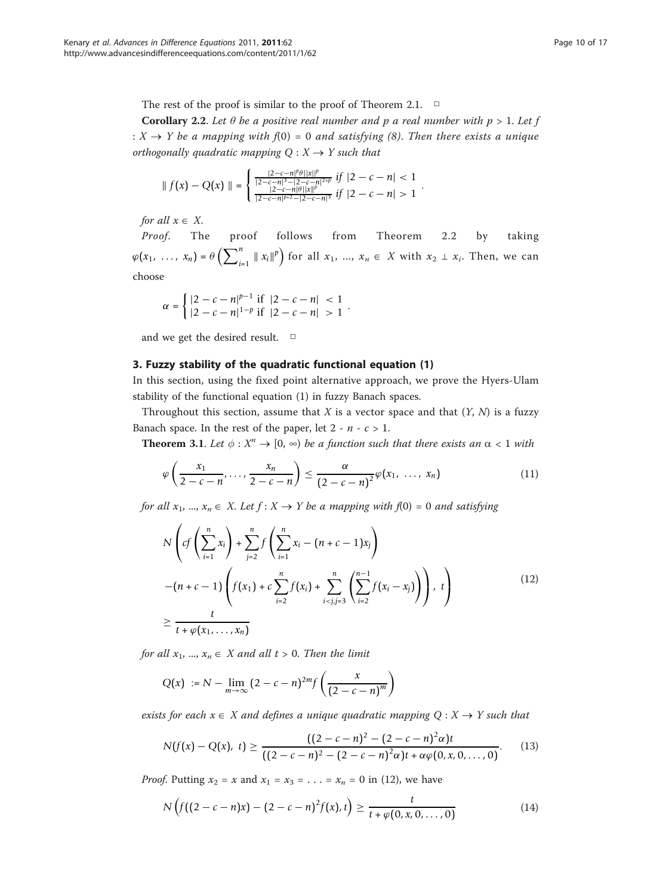The rest of the proof is similar to the proof of Theorem 2.1.  $\Box$ 

**Corollary 2.2.** Let  $\theta$  be a positive real number and p a real number with  $p > 1$ . Let f :  $X \rightarrow Y$  be a mapping with  $f(0) = 0$  and satisfying (8). Then there exists a unique orthogonally quadratic mapping  $Q: X \rightarrow Y$  such that

$$
\| f(x) - Q(x) \| = \begin{cases} \frac{|2 - c - n|^{\beta} \theta ||x||^p}{|2 - c - n|^3 - |2 - c - n|^{2+p}} & if \ |2 - c - n| < 1 \\ \frac{|2 - c - n|\theta ||x||^p}{|2 - c - n|^{p+2} - |2 - c - n|^3} & if \ |2 - c - n| > 1 \end{cases}.
$$

for all  $x \in X$ .

Proof. The proof follows from Theorem 2.2 by taking  $\varphi(x_1, \ldots, x_n) = \theta\left(\sum_{i=1}^n ||x_i||^p\right)$  for all  $x_1, \ldots, x_n \in X$  with  $x_2 \perp x_i$ . Then, we can choose

$$
\alpha = \begin{cases} |2 - c - n|^{p-1} \text{ if } |2 - c - n| < 1 \\ |2 - c - n|^{1-p} \text{ if } |2 - c - n| > 1 \end{cases}.
$$

and we get the desired result. □

### 3. Fuzzy stability of the quadratic functional equation (1)

In this section, using the fixed point alternative approach, we prove the Hyers-Ulam stability of the functional equation (1) in fuzzy Banach spaces.

Throughout this section, assume that  $X$  is a vector space and that  $(Y, N)$  is a fuzzy Banach space. In the rest of the paper, let  $2 - n - c > 1$ .

**Theorem 3.1.** Let  $\phi: X^n \to [0, \infty)$  be a function such that there exists an  $\alpha < 1$  with

$$
\varphi\left(\frac{x_1}{2-c-n},\ldots,\frac{x_n}{2-c-n}\right)\leq \frac{\alpha}{(2-c-n)^2}\varphi(x_1,\ldots,x_n) \qquad (11)
$$

for all  $x_1, ..., x_n \in X$ . Let  $f : X \to Y$  be a mapping with  $f(0) = 0$  and satisfying

$$
N\left(cf\left(\sum_{i=1}^{n} x_i\right) + \sum_{j=2}^{n} f\left(\sum_{i=1}^{n} x_i - (n + c - 1)x_j\right) - (n + c - 1)\left(f(x_1) + c\sum_{i=2}^{n} f(x_i) + \sum_{i\n
$$
\geq \frac{t}{t + \varphi(x_1, ..., x_n)} \tag{12}
$$
$$

for all  $x_1$ , ...,  $x_n \in X$  and all  $t > 0$ . Then the limit

$$
Q(x) := N - \lim_{m \to \infty} (2 - c - n)^{2m} f\left(\frac{x}{(2 - c - n)^m}\right)
$$

exists for each  $x \in X$  and defines a unique quadratic mapping  $Q : X \rightarrow Y$  such that

$$
N(f(x) - Q(x), t) \ge \frac{((2 - c - n)^2 - (2 - c - n)^2 \alpha)t}{((2 - c - n)^2 - (2 - c - n)^2 \alpha)t + \alpha \varphi(0, x, 0, ..., 0)}.
$$
(13)

*Proof.* Putting  $x_2 = x$  and  $x_1 = x_3 = \ldots = x_n = 0$  in (12), we have

$$
N\left(f((2-c-n)x)-(2-c-n)^2f(x),t\right)\geq \frac{t}{t+\varphi(0,x,0,\ldots,0)}
$$
(14)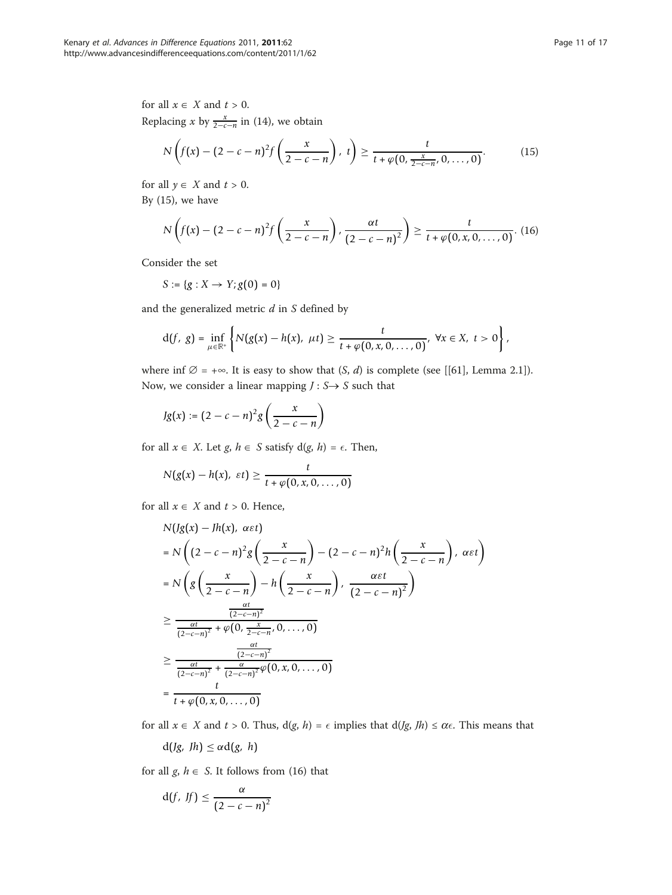for all  $x \in X$  and  $t > 0$ . Replacing *x* by  $\frac{x}{2-c-n}$  in (14), we obtain

$$
N\left(f(x) - (2 - c - n)^2 f\left(\frac{x}{2 - c - n}\right), t\right) \ge \frac{t}{t + \varphi(0, \frac{x}{2 - c - n}, 0, \dots, 0)}.
$$
(15)

for all  $y \in X$  and  $t > 0$ .

By (15), we have

$$
N\left(f(x) - (2 - c - n)^2 f\left(\frac{x}{2 - c - n}\right), \frac{\alpha t}{(2 - c - n)^2}\right) \ge \frac{t}{t + \varphi(0, x, 0, \dots, 0)}.\tag{16}
$$

Consider the set

$$
S := \{ g : X \to Y; g(0) = 0 \}
$$

and the generalized metric  $d$  in  $S$  defined by

$$
d(f, g) = \inf_{\mu \in \mathbb{R}^+} \left\{ N(g(x) - h(x), \ \mu t) \geq \frac{t}{t + \varphi(0, x, 0, \ldots, 0)}, \ \forall x \in X, \ t > 0 \right\},
$$

where inf  $\emptyset = +\infty$ . It is easy to show that  $(S, d)$  is complete (see [[\[61\]](#page-16-0), Lemma 2.1]). Now, we consider a linear mapping  $J : S \rightarrow S$  such that

$$
Jg(x) := (2-c-n)^2 g\left(\frac{x}{2-c-n}\right)
$$

for all  $x \in X$ . Let  $g, h \in S$  satisfy  $d(g, h) = \epsilon$ . Then,

$$
N(g(x) - h(x), \ \varepsilon t) \geq \frac{t}{t + \varphi(0, x, 0, \ldots, 0)}
$$

for all  $x \in X$  and  $t > 0$ . Hence,

$$
N(Jg(x) - Jh(x), \alpha \varepsilon t)
$$
\n
$$
= N\left((2 - c - n)^2 g\left(\frac{x}{2 - c - n}\right) - (2 - c - n)^2 h\left(\frac{x}{2 - c - n}\right), \alpha \varepsilon t\right)
$$
\n
$$
= N\left(g\left(\frac{x}{2 - c - n}\right) - h\left(\frac{x}{2 - c - n}\right), \frac{\alpha \varepsilon t}{(2 - c - n)^2}\right)
$$
\n
$$
\geq \frac{\frac{\alpha t}{(2 - c - n)^2}}{\frac{\alpha t}{(2 - c - n)^2} + \varphi(0, \frac{x}{2 - c - n}, 0, \dots, 0)}
$$
\n
$$
\geq \frac{\frac{\alpha t}{(2 - c - n)^2}}{\frac{\alpha t}{(2 - c - n)^2} + \frac{\alpha}{(2 - c - n)^2} \varphi(0, x, 0, \dots, 0)}
$$
\n
$$
= \frac{t}{t + \varphi(0, x, 0, \dots, 0)}
$$

for all  $x \in X$  and  $t > 0$ . Thus,  $d(g, h) = \epsilon$  implies that  $d(Jg, Th) \le \alpha \epsilon$ . This means that

 $d(Jg, Jh) \leq \alpha d(g, h)$ 

for all  $g, h \in S$ . It follows from (16) that

$$
d(f, Jf) \leq \frac{\alpha}{(2 - c - n)^2}
$$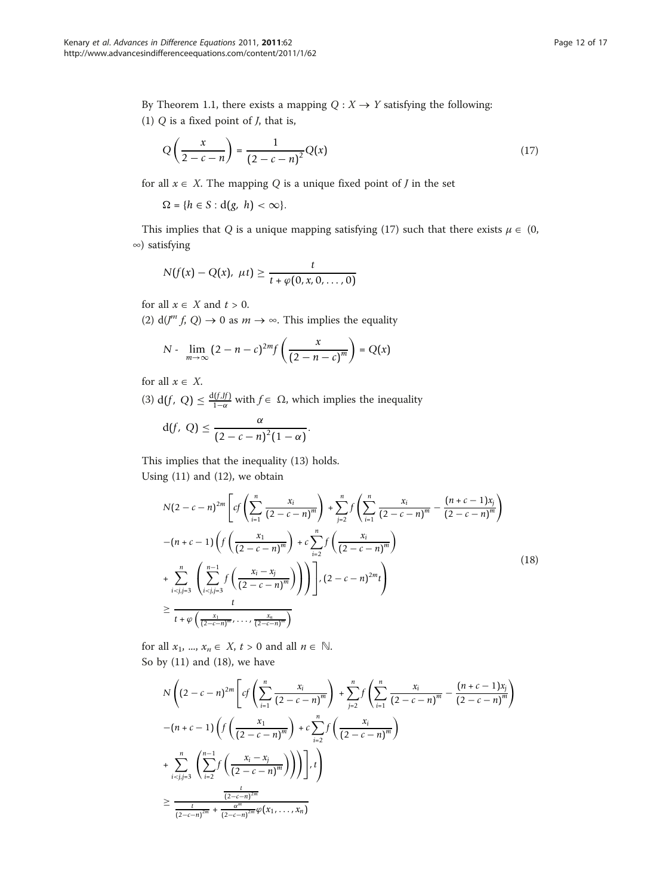By Theorem 1.1, there exists a mapping  $Q: X \rightarrow Y$  satisfying the following:

(1)  $Q$  is a fixed point of  $J$ , that is,

$$
Q\left(\frac{x}{2-c-n}\right) = \frac{1}{\left(2-c-n\right)^2}Q(x) \tag{17}
$$

for all  $x \in X$ . The mapping Q is a unique fixed point of J in the set

 $\Omega = \{h \in S : d(g, h) < \infty\}.$ 

This implies that Q is a unique mapping satisfying (17) such that there exists  $\mu \in (0, 1)$ ∞) satisfying

$$
N(f(x)-Q(x), \mu t) \geq \frac{t}{t+\varphi(0,x,0,\ldots,0)}
$$

for all  $x \in X$  and  $t > 0$ .

(2)  $d(J^m f, Q) \rightarrow 0$  as  $m \rightarrow \infty$ . This implies the equality

$$
N - \lim_{m \to \infty} (2 - n - c)^{2m} f\left(\frac{x}{(2 - n - c)^m}\right) = Q(x)
$$

for all  $x \in X$ .

(3) d(*f*, *Q*)  $\leq \frac{d(f, f)}{1-\alpha}$  with  $f \in \Omega$ , which implies the inequality

$$
d(f, Q) \leq \frac{\alpha}{(2 - c - n)^2 (1 - \alpha)}.
$$

This implies that the inequality (13) holds. Using (11) and (12), we obtain

$$
N(2 - c - n)^{2m} \left[ cf \left( \sum_{i=1}^{n} \frac{x_i}{(2 - c - n)^m} \right) + \sum_{j=2}^{n} f \left( \sum_{i=1}^{n} \frac{x_i}{(2 - c - n)^m} - \frac{(n + c - 1)x_j}{(2 - c - n)^m} \right) \right]
$$
  
-(n + c - 1)  $\left( f \left( \frac{x_1}{(2 - c - n)^m} \right) + c \sum_{i=2}^{n} f \left( \frac{x_i}{(2 - c - n)^m} \right) \right)$   
+  $\sum_{i < j, j=3}^{n} \left( \sum_{i < j, j=3}^{n-1} f \left( \frac{x_i - x_j}{(2 - c - n)^m} \right) \right) \right] \left[ c(2 - c - n)^{2m} t \right)$   

$$
\geq \frac{t}{t + \varphi \left( \frac{x_1}{(2 - c - n)^m}, \dots, \frac{x_n}{(2 - c - n)^m} \right)}
$$
(18)

for all  $x_1$ , ...,  $x_n \in X$ ,  $t > 0$  and all  $n \in \mathbb{N}$ . So by (11) and (18), we have

$$
N\left((2-c-n)^{2m}\left[cf\left(\sum_{i=1}^{n}\frac{x_i}{(2-c-n)^m}\right) + \sum_{j=2}^{n}f\left(\sum_{i=1}^{n}\frac{x_i}{(2-c-n)^m} - \frac{(n+c-1)x_j}{(2-c-n)^m}\right)\right) - (n+c-1)\left(f\left(\frac{x_1}{(2-c-n)^m}\right) + c\sum_{i=2}^{n}f\left(\frac{x_i}{(2-c-n)^m}\right)\right) + \sum_{i  

$$
\geq \frac{\frac{t}{(2-c-n)^{2m}}}{\frac{t}{(2-c-n)^{2m}} + \frac{\alpha^m}{(2-c-n)^{2m}}\varphi(x_1,\ldots,x_n)}
$$
$$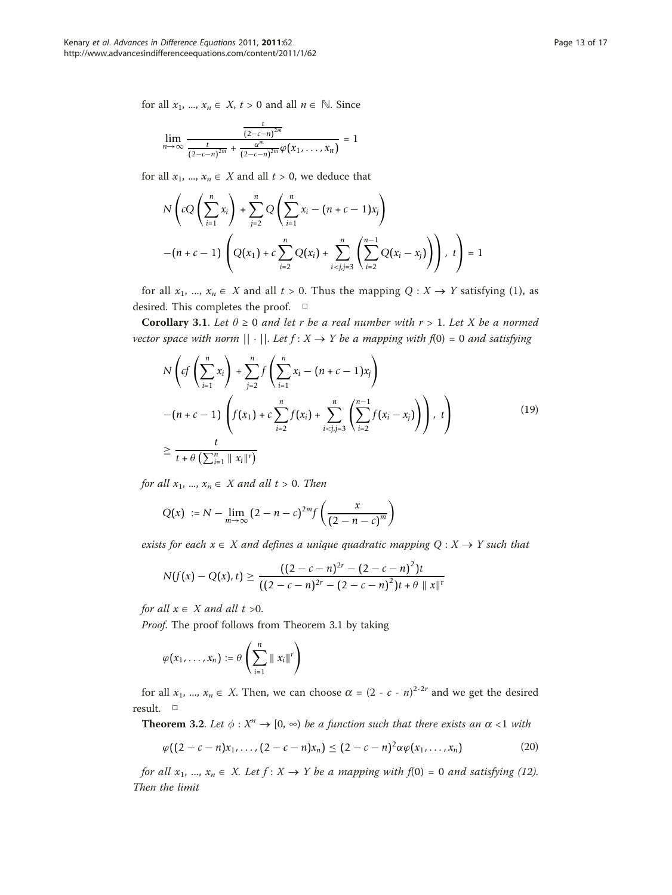for all  $x_1$ , ...,  $x_n \in X$ ,  $t > 0$  and all  $n \in \mathbb{N}$ . Since

$$
\lim_{n \to \infty} \frac{\frac{t}{(2-c-n)^{2m}}}{\frac{t}{(2-c-n)^{2m}} + \frac{\alpha^m}{(2-c-n)^{2m}} \varphi(x_1, \ldots, x_n)} = 1
$$

for all  $x_1$ , ...,  $x_n \in X$  and all  $t > 0$ , we deduce that

$$
N\left(cQ\left(\sum_{i=1}^{n}x_{i}\right)+\sum_{j=2}^{n}Q\left(\sum_{i=1}^{n}x_{i}-(n+c-1)x_{j}\right)\right)
$$

$$
-(n+c-1)\left(Q(x_{1})+c\sum_{i=2}^{n}Q(x_{i})+\sum_{i
$$

for all  $x_1, ..., x_n \in X$  and all  $t > 0$ . Thus the mapping  $Q : X \to Y$  satisfying (1), as desired. This completes the proof. □

Corollary 3.1. Let  $\theta \ge 0$  and let r be a real number with  $r > 1$ . Let X be a normed vector space with norm  $|| \cdot ||$ . Let  $f: X \to Y$  be a mapping with  $f(0) = 0$  and satisfying

$$
N\left(cf\left(\sum_{i=1}^{n} x_{i}\right) + \sum_{j=2}^{n} f\left(\sum_{i=1}^{n} x_{i} - (n + c - 1)x_{j}\right) - (n + c - 1)\left(f(x_{1}) + c\sum_{i=2}^{n} f(x_{i}) + \sum_{i < j, j=3}^{n} \left(\sum_{i=2}^{n-1} f(x_{i} - x_{j})\right)\right), t\right)
$$
  

$$
\geq \frac{t}{t + \theta\left(\sum_{i=1}^{n} ||x_{i}||^{r}\right)}
$$
(19)

for all  $x_1, ..., x_n \in X$  and all  $t > 0$ . Then

$$
Q(x) := N - \lim_{m \to \infty} (2 - n - c)^{2m} f\left(\frac{x}{(2 - n - c)^m}\right)
$$

exists for each  $x \in X$  and defines a unique quadratic mapping  $Q : X \rightarrow Y$  such that

$$
N(f(x) - Q(x), t) \ge \frac{((2 - c - n)^{2r} - (2 - c - n)^2)t}{((2 - c - n)^{2r} - (2 - c - n)^2)t + \theta \|x\|^r}
$$

for all  $x \in X$  and all  $t > 0$ .

Proof. The proof follows from Theorem 3.1 by taking

$$
\varphi(x_1,\ldots,x_n):=\theta\left(\sum_{i=1}^n\parallel x_i\parallel^r\right)
$$

for all  $x_1$ , ...,  $x_n \in X$ . Then, we can choose  $\alpha = (2 - c - n)^{2-2r}$  and we get the desired result. □

**Theorem 3.2.** Let  $\phi: X^n \to [0, \infty)$  be a function such that there exists an  $\alpha < 1$  with

$$
\varphi((2-c-n)x_1, ..., (2-c-n)x_n) \le (2-c-n)^2 \alpha \varphi(x_1, ..., x_n)
$$
 (20)

for all  $x_1, ..., x_n \in X$ . Let  $f : X \to Y$  be a mapping with  $f(0) = 0$  and satisfying (12). Then the limit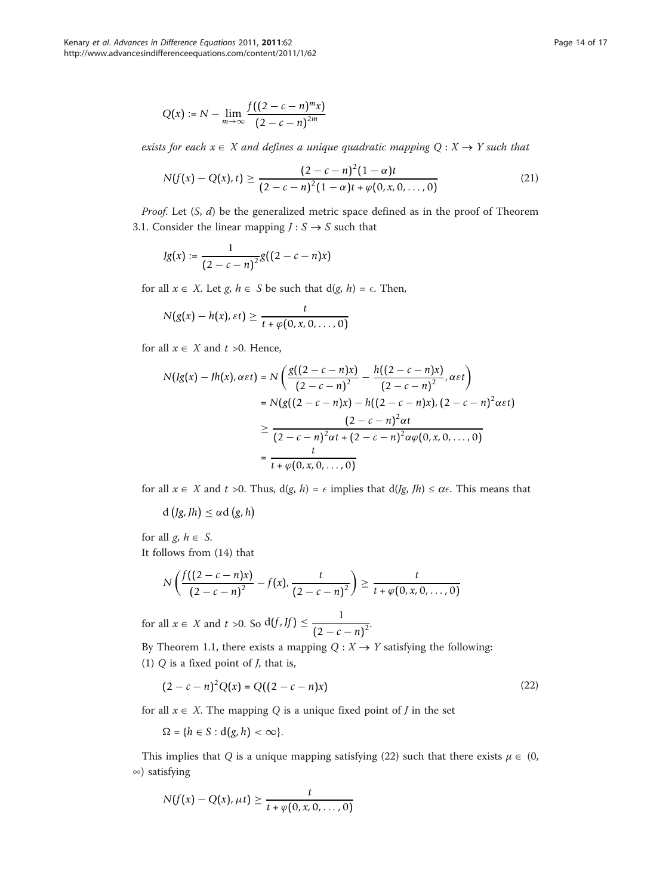$$
Q(x) := N - \lim_{m \to \infty} \frac{f((2 - c - n)^m x)}{(2 - c - n)^{2m}}
$$

exists for each  $x \in X$  and defines a unique quadratic mapping  $Q : X \rightarrow Y$  such that

$$
N(f(x) - Q(x), t) \ge \frac{(2 - c - n)^2 (1 - \alpha)t}{(2 - c - n)^2 (1 - \alpha)t + \varphi(0, x, 0, ..., 0)}
$$
(21)

*Proof.* Let  $(S, d)$  be the generalized metric space defined as in the proof of Theorem 3.1. Consider the linear mapping  $J: S \rightarrow S$  such that

$$
Jg(x) := \frac{1}{(2 - c - n)^2} g((2 - c - n)x)
$$

for all  $x \in X$ . Let  $g, h \in S$  be such that  $d(g, h) = \epsilon$ . Then,

$$
N(g(x) - h(x), \varepsilon t) \geq \frac{t}{t + \varphi(0, x, 0, \ldots, 0)}
$$

for all  $x \in X$  and  $t > 0$ . Hence,

$$
N(Ig(x) - Jh(x), \alpha \varepsilon t) = N\left(\frac{g((2 - c - n)x)}{(2 - c - n)^2} - \frac{h((2 - c - n)x)}{(2 - c - n)^2}, \alpha \varepsilon t\right)
$$
  
= 
$$
N(g((2 - c - n)x) - h((2 - c - n)x), (2 - c - n)^2 \alpha \varepsilon t)
$$
  

$$
\geq \frac{(2 - c - n)^2 \alpha t}{(2 - c - n)^2 \alpha t + (2 - c - n)^2 \alpha \varphi(0, x, 0, ..., 0)}
$$
  
= 
$$
\frac{t}{t + \varphi(0, x, 0, ..., 0)}
$$

for all  $x \in X$  and  $t > 0$ . Thus,  $d(g, h) = \epsilon$  implies that  $d(Jg, Th) \leq \alpha \epsilon$ . This means that

 $d(g, Jh) \leq \alpha d(g, h)$ 

for all  $g, h \in S$ . It follows from (14) that

$$
N\left(\frac{f((2-c-n)x)}{(2-c-n)^2}-f(x),\frac{t}{(2-c-n)^2}\right)\geq \frac{t}{t+\varphi(0,x,0,\ldots,0)}
$$

for all  $x \in X$  and  $t > 0$ . So  $d(f, If) \leq \frac{1}{\sqrt{2\pi}}$  $\sqrt{(2-c-n)^2}$ 

By Theorem 1.1, there exists a mapping  $Q: X \rightarrow Y$  satisfying the following: (1)  $Q$  is a fixed point of  $J$ , that is,

$$
(2 - c - n)^2 Q(x) = Q((2 - c - n)x)
$$
\n(22)

for all  $x \in X$ . The mapping Q is a unique fixed point of J in the set

 $\Omega = \{h \in S : d(g, h) < \infty\}.$ 

This implies that Q is a unique mapping satisfying (22) such that there exists  $\mu \in (0, 1)$ ∞) satisfying

$$
N(f(x) - Q(x), \mu t) \geq \frac{t}{t + \varphi(0, x, 0, \ldots, 0)}
$$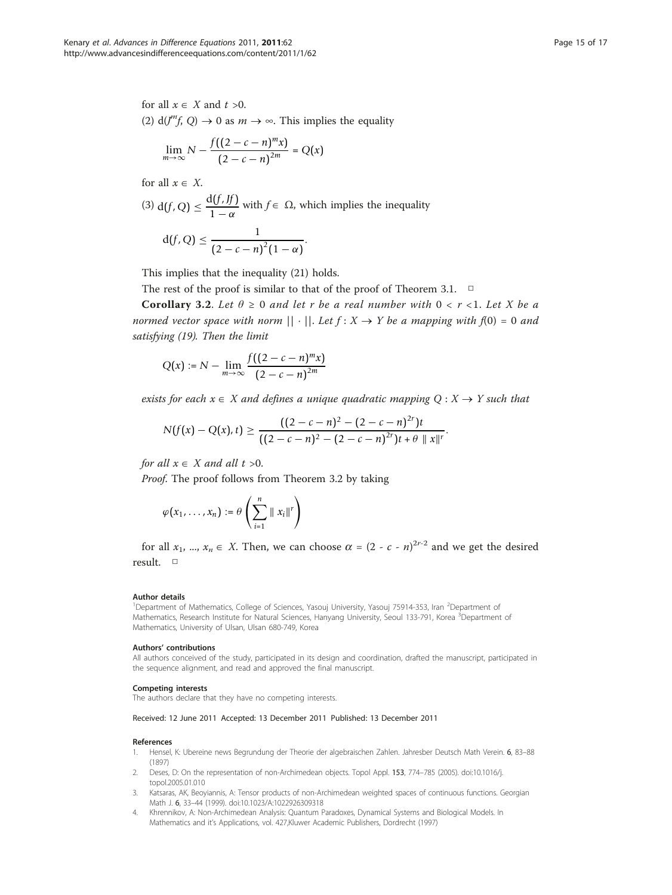<span id="page-14-0"></span>for all  $x \in X$  and  $t > 0$ . (2)  $d(J^m f, Q) \rightarrow 0$  as  $m \rightarrow \infty$ . This implies the equality

$$
\lim_{m \to \infty} N - \frac{f((2 - c - n)^m x)}{(2 - c - n)^{2m}} = Q(x)
$$

for all  $x \in X$ .

(3) d(f, Q) 
$$
\leq \frac{d(f, Jf)}{1 - \alpha}
$$
 with  $f \in \Omega$ , which implies the inequality  
d(f, Q)  $\leq \frac{1}{(2 - c - n)^2 (1 - \alpha)}$ .

This implies that the inequality (21) holds.

The rest of the proof is similar to that of the proof of Theorem 3.1.  $\Box$ 

Corollary 3.2. Let  $\theta \ge 0$  and let r be a real number with  $0 < r < 1$ . Let X be a normed vector space with norm  $|| \cdot ||$ . Let  $f: X \rightarrow Y$  be a mapping with  $f(0) = 0$  and satisfying (19). Then the limit

$$
Q(x) := N - \lim_{m \to \infty} \frac{f((2 - c - n)^m x)}{(2 - c - n)^{2m}}
$$

exists for each  $x \in X$  and defines a unique quadratic mapping  $Q : X \rightarrow Y$  such that

$$
N(f(x) - Q(x), t) \ge \frac{((2 - c - n)^2 - (2 - c - n)^{2r})t}{((2 - c - n)^2 - (2 - c - n)^{2r})t + \theta \|x\|^r}.
$$

for all  $x \in X$  and all  $t > 0$ .

Proof. The proof follows from Theorem 3.2 by taking

$$
\varphi(x_1,\ldots,x_n):=\theta\left(\sum_{i=1}^n\parallel x_i\parallel^r\right)
$$

for all  $x_1$ , ...,  $x_n \in X$ . Then, we can choose  $\alpha = (2 - c - n)^{2r-2}$  and we get the desired result. □

#### Author details

<sup>1</sup>Department of Mathematics, College of Sciences, Yasouj University, Yasouj 75914-353, Iran <sup>2</sup>Department of Mathematics, Research Institute for Natural Sciences, Hanyang University, Seoul 133-791, Korea <sup>3</sup>Department of Mathematics, University of Ulsan, Ulsan 680-749, Korea

#### Authors' contributions

All authors conceived of the study, participated in its design and coordination, drafted the manuscript, participated in the sequence alignment, and read and approved the final manuscript.

#### Competing interests

The authors declare that they have no competing interests.

#### Received: 12 June 2011 Accepted: 13 December 2011 Published: 13 December 2011

#### References

- 1. Hensel, K: Ubereine news Begrundung der Theorie der algebraischen Zahlen. Jahresber Deutsch Math Verein. 6, 83–88 (1897)
- 2. Deses, D: On the representation of non-Archimedean objects. Topol Appl. 153, 774–785 (2005). doi:10.1016/j. topol.2005.01.010
- 3. Katsaras, AK, Beoyiannis, A: Tensor products of non-Archimedean weighted spaces of continuous functions. Georgian Math J. 6, 33–44 (1999). doi:10.1023/A:1022926309318
- 4. Khrennikov, A[: Non-Archimedean Analysis: Quantum Paradoxes, Dynamical Systems and Biological Models.](http://www.ncbi.nlm.nih.gov/pubmed/22219716?dopt=Abstract) In Mathematics and it's Applications, vol. 427,Kluwer Academic Publishers, Dordrecht (1997)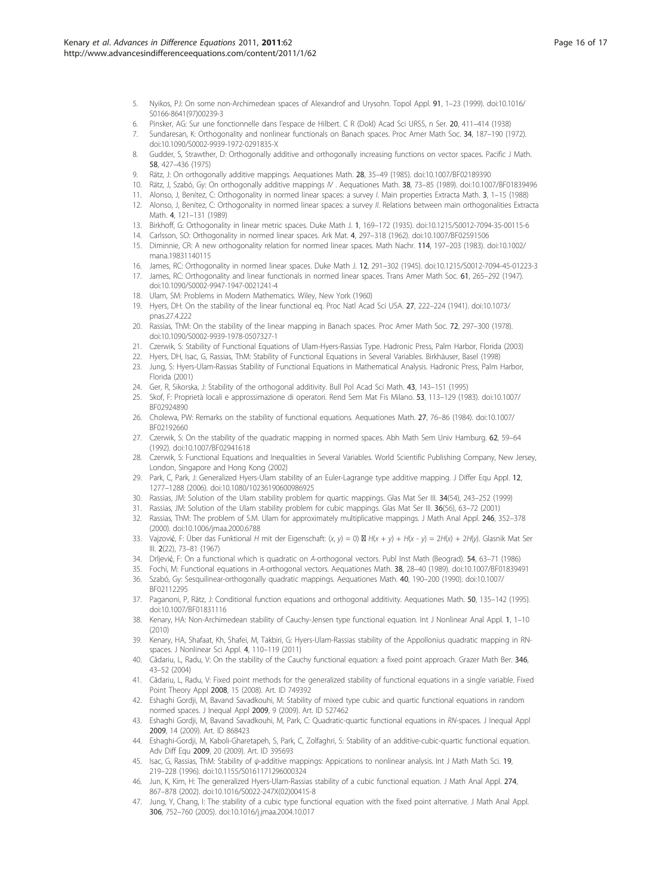- <span id="page-15-0"></span>5. Nyikos, PJ: On some non-Archimedean spaces of Alexandrof and Urysohn. Topol Appl. 91, 1–23 (1999). doi:10.1016/ S0166-8641(97)00239-3
- 6. Pinsker, AG: Sur une fonctionnelle dans l'espace de Hilbert. C R (Dokl) Acad Sci URSS, n Ser. 20, 411–414 (1938)
- 7. Sundaresan, K: Orthogonality and nonlinear functionals on Banach spaces. Proc Amer Math Soc. 34, 187–190 (1972). doi:10.1090/S0002-9939-1972-0291835-X
- 8. Gudder, S, Strawther, D: Orthogonally additive and orthogonally increasing functions on vector spaces. Pacific J Math. 58, 427–436 (1975)
- 9. Rätz, J: On orthogonally additive mappings. Aequationes Math. 28, 35–49 (1985). doi:10.1007/BF02189390
- 10. Rätz, J, Szabó, Gy: On orthogonally additive mappings IV . Aequationes Math. 38, 73–85 (1989). doi:10.1007/BF01839496
- 11. Alonso, J, Benítez, C: Orthogonality in normed linear spaces: a survey I. Main properties Extracta Math. 3, 1–15 (1988)
- 12. Alonso, J, Benítez, C: Orthogonality in normed linear spaces: a survey II. Relations between main orthogonalities Extracta Math. 4, 121–131 (1989)
- 13. Birkhoff, G: Orthogonality in linear metric spaces. Duke Math J. 1, 169–172 (1935). doi:10.1215/S0012-7094-35-00115-6
- 14. Carlsson, SO: Orthogonality in normed linear spaces. Ark Mat. 4, 297–318 (1962). doi:10.1007/BF02591506
- 15. Diminnie, CR: A new orthogonality relation for normed linear spaces. Math Nachr. 114, 197–203 (1983). doi:10.1002/ mana.19831140115
- 16. James, RC: Orthogonality in normed linear spaces. Duke Math J. 12, 291–302 (1945). doi:10.1215/S0012-7094-45-01223-3
- 17. James, RC: Orthogonality and linear functionals in normed linear spaces. Trans Amer Math Soc. 61, 265–292 (1947). doi:10.1090/S0002-9947-1947-0021241-4
- 18. Ulam, SM: Problems in Modern Mathematics. Wiley, New York (1960)
- 19. Hyers, DH: [On the stability of the linear functional eq.](http://www.ncbi.nlm.nih.gov/pubmed/16578012?dopt=Abstract) Proc Natl Acad Sci USA. 27, 222–224 (1941). doi:10.1073/ pnas.27.4.222
- 20. Rassias, ThM: On the stability of the linear mapping in Banach spaces. Proc Amer Math Soc. 72, 297–300 (1978). doi:10.1090/S0002-9939-1978-0507327-1
- 21. Czerwik, S: Stability of Functional Equations of Ulam-Hyers-Rassias Type. Hadronic Press, Palm Harbor, Florida (2003)
- 22. Hyers, DH, Isac, G, Rassias, ThM: Stability of Functional Equations in Several Variables. Birkhäuser, Basel (1998)
- 23. Jung, S: Hyers-Ulam-Rassias Stability of Functional Equations in Mathematical Analysis. Hadronic Press, Palm Harbor, Florida (2001)
- 24. Ger, R, Sikorska, J: Stability of the orthogonal additivity. Bull Pol Acad Sci Math. 43, 143–151 (1995)
- 25. Skof, F: Proprietà locali e approssimazione di operatori. Rend Sem Mat Fis Milano. 53, 113–129 (1983). doi:10.1007/ BF02924890
- 26. Cholewa, PW: Remarks on the stability of functional equations. Aequationes Math. 27, 76–86 (1984). doi:10.1007/ BF02192660
- 27. Czerwik, S: On the stability of the quadratic mapping in normed spaces. Abh Math Sem Univ Hamburg. 62, 59-64 (1992). doi:10.1007/BF02941618
- 28. Czerwik, S: Functional Equations and Inequalities in Several Variables. World Scientific Publishing Company, New Jersey, London, Singapore and Hong Kong (2002)
- 29. Park, C, Park, J: Generalized Hyers-Ulam stability of an Euler-Lagrange type additive mapping. J Differ Equ Appl. 12, 1277–1288 (2006). doi:10.1080/10236190600986925
- 30. Rassias, JM: Solution of the Ulam stability problem for quartic mappings. Glas Mat Ser III. 34(54), 243–252 (1999)
- 31. Rassias, JM: Solution of the Ulam stability problem for cubic mappings. Glas Mat Ser III. 36(56), 63–72 (2001)
- 32. Rassias, ThM: The problem of S.M. Ulam for approximately multiplicative mappings. J Math Anal Appl. 246, 352–378 (2000). doi:10.1006/jmaa.2000.6788
- 33. Vajzović, F: Über das Funktional H mit der Eigenschaft: (x, y) = 0)  $\boxtimes$  H(x + y) + H(x y) = 2H(x) + 2H(y). Glasnik Mat Ser III. 2(22), 73–81 (1967)
- 34. Drljević, F: On a functional which is quadratic on A-orthogonal vectors. Publ Inst Math (Beograd). 54, 63–71 (1986)
- 35. Fochi, M: Functional equations in A-orthogonal vectors. Aequationes Math. 38, 28–40 (1989). doi:10.1007/BF01839491
- 36. Szabó, Gy: Sesquilinear-orthogonally quadratic mappings. Aequationes Math. 40, 190–200 (1990). doi:10.1007/ BF02112295
- 37. Paganoni, P, Rätz, J: Conditional function equations and orthogonal additivity. Aequationes Math. 50, 135–142 (1995). doi:10.1007/BF01831116
- 38. Kenary, HA: Non-Archimedean stability of Cauchy-Jensen type functional equation. Int J Nonlinear Anal Appl. 1, 1–10 (2010)
- 39. Kenary, HA, Shafaat, Kh, Shafei, M, Takbiri, G: Hyers-Ulam-Rassias stability of the Appollonius quadratic mapping in RNspaces. J Nonlinear Sci Appl. 4, 110-119 (2011)
- 40. Cădariu, L, Radu, V: On the stability of the Cauchy functional equation: a fixed point approach. Grazer Math Ber. 346, 43–52 (2004)
- 41. Cădariu, L, Radu, V: Fixed point methods for the generalized stability of functional equations in a single variable. Fixed Point Theory Appl 2008, 15 (2008). Art. ID 749392
- 42. Eshaghi Gordji, M, Bavand Savadkouhi, M: Stability of mixed type cubic and quartic functional equations in random normed spaces. J Inequal Appl 2009, 9 (2009). Art. ID 527462
- 43. Eshaghi Gordji, M, Bavand Savadkouhi, M, Park, C: Quadratic-quartic functional equations in RN-spaces. J Inequal Appl 2009, 14 (2009). Art. ID 868423
- 44. Eshaghi-Gordji, M, Kaboli-Gharetapeh, S, Park, C, Zolfaghri, S: Stability of an additive-cubic-quartic functional equation. Adv Diff Equ 2009, 20 (2009). Art. ID 395693
- 45. Isac, G, Rassias, ThM: Stability of ψ-additive mappings: Appications to nonlinear analysis. Int J Math Math Sci. 19, 219–228 (1996). doi:10.1155/S0161171296000324
- 46. Jun, K, Kim, H: The generalized Hyers-Ulam-Rassias stability of a cubic functional equation. J Math Anal Appl. 274, 867–878 (2002). doi:10.1016/S0022-247X(02)00415-8
- 47. Jung, Y, Chang, I: The stability of a cubic type functional equation with the fixed point alternative. J Math Anal Appl. 306, 752–760 (2005). doi:10.1016/j.jmaa.2004.10.017